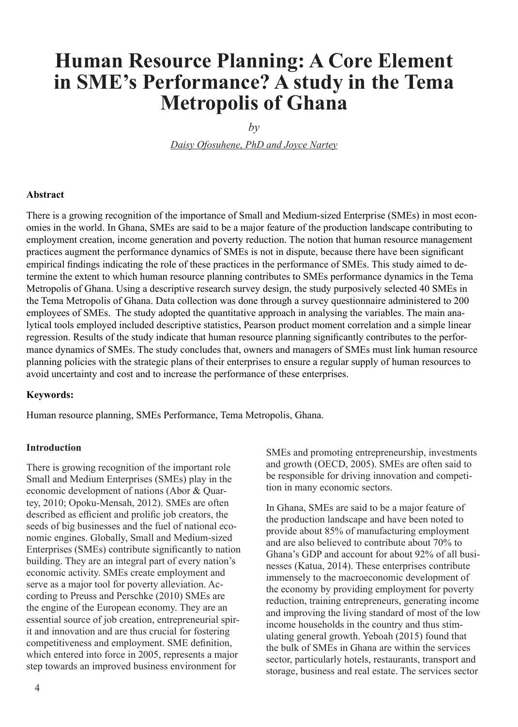# **Human Resource Planning: A Core Element in SME's Performance? A study in the Tema Metropolis of Ghana**

 $b\nu$ 

*Daisy Ofosuhene, PhD and Joyce Nartey*

#### **Abstract**

There is a growing recognition of the importance of Small and Medium-sized Enterprise (SMEs) in most economies in the world. In Ghana, SMEs are said to be a major feature of the production landscape contributing to employment creation, income generation and poverty reduction. The notion that human resource management practices augment the performance dynamics of SMEs is not in dispute, because there have been significant empirical findings indicating the role of these practices in the performance of SMEs. This study aimed to determine the extent to which human resource planning contributes to SMEs performance dynamics in the Tema Metropolis of Ghana. Using a descriptive research survey design, the study purposively selected 40 SMEs in the Tema Metropolis of Ghana. Data collection was done through a survey questionnaire administered to 200 employees of SMEs. The study adopted the quantitative approach in analysing the variables. The main analytical tools employed included descriptive statistics, Pearson product moment correlation and a simple linear regression. Results of the study indicate that human resource planning significantly contributes to the performance dynamics of SMEs. The study concludes that, owners and managers of SMEs must link human resource planning policies with the strategic plans of their enterprises to ensure a regular supply of human resources to avoid uncertainty and cost and to increase the performance of these enterprises.

#### **Keywords:**

Human resource planning, SMEs Performance, Tema Metropolis, Ghana.

#### **Introduction**

There is growing recognition of the important role Small and Medium Enterprises (SMEs) play in the economic development of nations (Abor & Quartey, 2010; Opoku-Mensah, 2012). SMEs are often described as efficient and prolific job creators, the seeds of big businesses and the fuel of national economic engines. Globally, Small and Medium-sized Enterprises (SMEs) contribute significantly to nation building. They are an integral part of every nation's economic activity. SMEs create employment and serve as a major tool for poverty alleviation. According to Preuss and Perschke (2010) SMEs are the engine of the European economy. They are an essential source of job creation, entrepreneurial spirit and innovation and are thus crucial for fostering competitiveness and employment. SME definition, which entered into force in 2005, represents a major step towards an improved business environment for

SMEs and promoting entrepreneurship, investments and growth (OECD, 2005). SMEs are often said to be responsible for driving innovation and competition in many economic sectors.

In Ghana, SMEs are said to be a major feature of the production landscape and have been noted to provide about 85% of manufacturing employment and are also believed to contribute about 70% to Ghana's GDP and account for about 92% of all businesses (Katua, 2014). These enterprises contribute immensely to the macroeconomic development of the economy by providing employment for poverty reduction, training entrepreneurs, generating income and improving the living standard of most of the low income households in the country and thus stimulating general growth. Yeboah (2015) found that the bulk of SMEs in Ghana are within the services sector, particularly hotels, restaurants, transport and storage, business and real estate. The services sector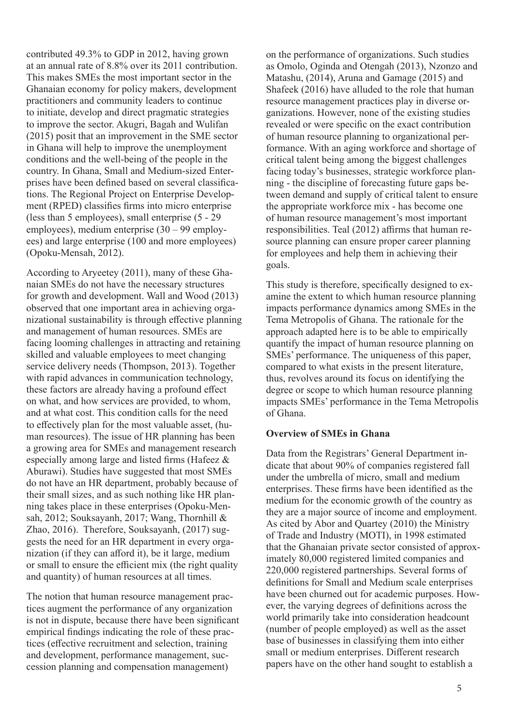contributed 49.3% to GDP in 2012, having grown at an annual rate of 8.8% over its 2011 contribution. This makes SMEs the most important sector in the Ghanaian economy for policy makers, development practitioners and community leaders to continue to initiate, develop and direct pragmatic strategies to improve the sector. Akugri, Bagah and Wulifan (2015) posit that an improvement in the SME sector in Ghana will help to improve the unemployment conditions and the well-being of the people in the country. In Ghana, Small and Medium-sized Enterprises have been defined based on several classifications. The Regional Project on Enterprise Development (RPED) classifies firms into micro enterprise (less than 5 employees), small enterprise (5 - 29 employees), medium enterprise (30 – 99 employees) and large enterprise (100 and more employees) (Opoku-Mensah, 2012).

According to Aryeetey (2011), many of these Ghanaian SMEs do not have the necessary structures for growth and development. Wall and Wood (2013) observed that one important area in achieving organizational sustainability is through effective planning and management of human resources. SMEs are facing looming challenges in attracting and retaining skilled and valuable employees to meet changing service delivery needs (Thompson, 2013). Together with rapid advances in communication technology, these factors are already having a profound effect on what, and how services are provided, to whom, and at what cost. This condition calls for the need to effectively plan for the most valuable asset, (human resources). The issue of HR planning has been a growing area for SMEs and management research especially among large and listed firms (Hafeez & Aburawi). Studies have suggested that most SMEs do not have an HR department, probably because of their small sizes, and as such nothing like HR planning takes place in these enterprises (Opoku-Mensah, 2012; Souksayanh, 2017; Wang, Thornhill & Zhao, 2016). Therefore, Souksayanh, (2017) suggests the need for an HR department in every organization (if they can afford it), be it large, medium or small to ensure the efficient mix (the right quality and quantity) of human resources at all times.

The notion that human resource management practices augment the performance of any organization is not in dispute, because there have been significant empirical findings indicating the role of these practices (effective recruitment and selection, training and development, performance management, succession planning and compensation management)

on the performance of organizations. Such studies as Omolo, Oginda and Otengah (2013), Nzonzo and Matashu, (2014), Aruna and Gamage (2015) and Shafeek (2016) have alluded to the role that human resource management practices play in diverse organizations. However, none of the existing studies revealed or were specific on the exact contribution of human resource planning to organizational performance. With an aging workforce and shortage of critical talent being among the biggest challenges facing today's businesses, strategic workforce planning - the discipline of forecasting future gaps between demand and supply of critical talent to ensure the appropriate workforce mix - has become one of human resource management's most important responsibilities. Teal (2012) affirms that human resource planning can ensure proper career planning for employees and help them in achieving their goals.

This study is therefore, specifically designed to examine the extent to which human resource planning impacts performance dynamics among SMEs in the Tema Metropolis of Ghana. The rationale for the approach adapted here is to be able to empirically quantify the impact of human resource planning on SMEs' performance. The uniqueness of this paper, compared to what exists in the present literature, thus, revolves around its focus on identifying the degree or scope to which human resource planning impacts SMEs' performance in the Tema Metropolis of Ghana.

#### **Overview of SMEs in Ghana**

Data from the Registrars' General Department indicate that about 90% of companies registered fall under the umbrella of micro, small and medium enterprises. These firms have been identified as the medium for the economic growth of the country as they are a major source of income and employment. As cited by Abor and Quartey (2010) the Ministry of Trade and Industry (MOTI), in 1998 estimated that the Ghanaian private sector consisted of approximately 80,000 registered limited companies and 220,000 registered partnerships. Several forms of definitions for Small and Medium scale enterprises have been churned out for academic purposes. However, the varying degrees of definitions across the world primarily take into consideration headcount (number of people employed) as well as the asset base of businesses in classifying them into either small or medium enterprises. Different research papers have on the other hand sought to establish a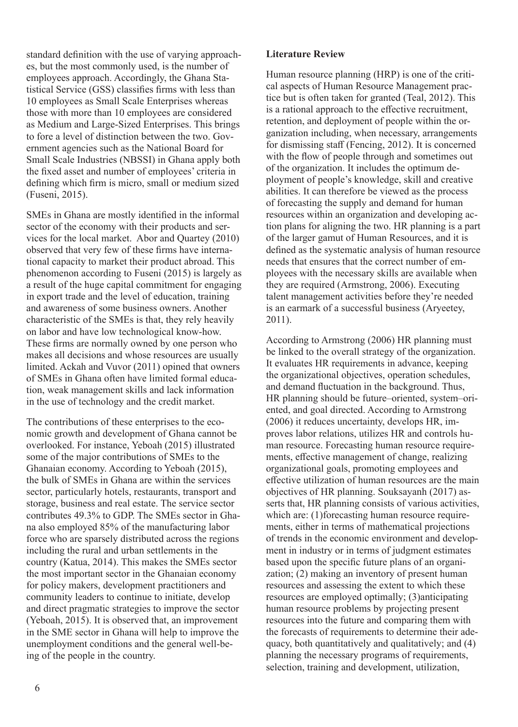standard definition with the use of varying approaches, but the most commonly used, is the number of employees approach. Accordingly, the Ghana Statistical Service (GSS) classifies firms with less than 10 employees as Small Scale Enterprises whereas those with more than 10 employees are considered as Medium and Large-Sized Enterprises. This brings to fore a level of distinction between the two. Government agencies such as the National Board for Small Scale Industries (NBSSI) in Ghana apply both the fixed asset and number of employees' criteria in defining which firm is micro, small or medium sized (Fuseni, 2015).

SMEs in Ghana are mostly identified in the informal sector of the economy with their products and services for the local market. Abor and Quartey (2010) observed that very few of these firms have international capacity to market their product abroad. This phenomenon according to Fuseni (2015) is largely as a result of the huge capital commitment for engaging in export trade and the level of education, training and awareness of some business owners. Another characteristic of the SMEs is that, they rely heavily on labor and have low technological know-how. These firms are normally owned by one person who makes all decisions and whose resources are usually limited. Ackah and Vuvor (2011) opined that owners of SMEs in Ghana often have limited formal education, weak management skills and lack information in the use of technology and the credit market.

The contributions of these enterprises to the economic growth and development of Ghana cannot be overlooked. For instance, Yeboah (2015) illustrated some of the major contributions of SMEs to the Ghanaian economy. According to Yeboah (2015), the bulk of SMEs in Ghana are within the services sector, particularly hotels, restaurants, transport and storage, business and real estate. The service sector contributes 49.3% to GDP. The SMEs sector in Ghana also employed 85% of the manufacturing labor force who are sparsely distributed across the regions including the rural and urban settlements in the country (Katua, 2014). This makes the SMEs sector the most important sector in the Ghanaian economy for policy makers, development practitioners and community leaders to continue to initiate, develop and direct pragmatic strategies to improve the sector (Yeboah, 2015). It is observed that, an improvement in the SME sector in Ghana will help to improve the unemployment conditions and the general well-being of the people in the country.

#### **Literature Review**

Human resource planning (HRP) is one of the critical aspects of Human Resource Management practice but is often taken for granted (Teal, 2012). This is a rational approach to the effective recruitment, retention, and deployment of people within the organization including, when necessary, arrangements for dismissing staff (Fencing, 2012). It is concerned with the flow of people through and sometimes out of the organization. It includes the optimum deployment of people's knowledge, skill and creative abilities. It can therefore be viewed as the process of forecasting the supply and demand for human resources within an organization and developing action plans for aligning the two. HR planning is a part of the larger gamut of Human Resources, and it is defined as the systematic analysis of human resource needs that ensures that the correct number of employees with the necessary skills are available when they are required (Armstrong, 2006). Executing talent management activities before they're needed is an earmark of a successful business (Aryeetey, 2011).

According to Armstrong (2006) HR planning must be linked to the overall strategy of the organization. It evaluates HR requirements in advance, keeping the organizational objectives, operation schedules, and demand fluctuation in the background. Thus, HR planning should be future–oriented, system–oriented, and goal directed. According to Armstrong (2006) it reduces uncertainty, develops HR, improves labor relations, utilizes HR and controls human resource. Forecasting human resource requirements, effective management of change, realizing organizational goals, promoting employees and effective utilization of human resources are the main objectives of HR planning. Souksayanh (2017) asserts that, HR planning consists of various activities, which are: (1) forecasting human resource requirements, either in terms of mathematical projections of trends in the economic environment and development in industry or in terms of judgment estimates based upon the specific future plans of an organization; (2) making an inventory of present human resources and assessing the extent to which these resources are employed optimally; (3)anticipating human resource problems by projecting present resources into the future and comparing them with the forecasts of requirements to determine their adequacy, both quantitatively and qualitatively; and (4) planning the necessary programs of requirements, selection, training and development, utilization,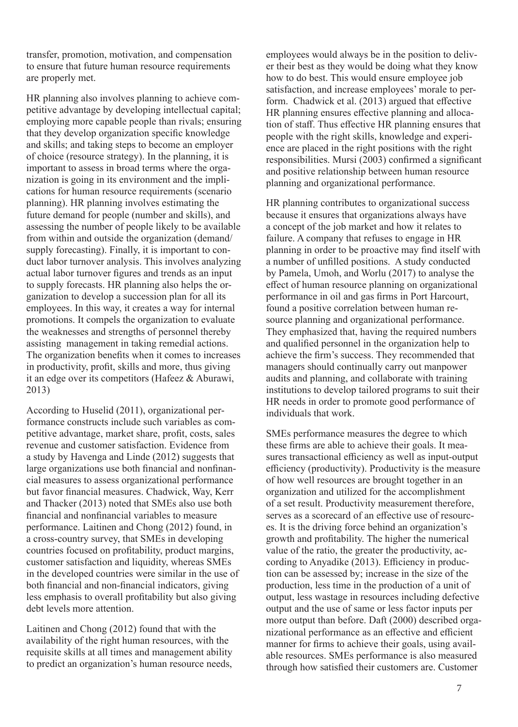transfer, promotion, motivation, and compensation to ensure that future human resource requirements are properly met.

HR planning also involves planning to achieve competitive advantage by developing intellectual capital; employing more capable people than rivals; ensuring that they develop organization specific knowledge and skills; and taking steps to become an employer of choice (resource strategy). In the planning, it is important to assess in broad terms where the organization is going in its environment and the implications for human resource requirements (scenario planning). HR planning involves estimating the future demand for people (number and skills), and assessing the number of people likely to be available from within and outside the organization (demand/ supply forecasting). Finally, it is important to conduct labor turnover analysis. This involves analyzing actual labor turnover figures and trends as an input to supply forecasts. HR planning also helps the organization to develop a succession plan for all its employees. In this way, it creates a way for internal promotions. It compels the organization to evaluate the weaknesses and strengths of personnel thereby assisting management in taking remedial actions. The organization benefits when it comes to increases in productivity, profit, skills and more, thus giving it an edge over its competitors (Hafeez & Aburawi, 2013)

According to Huselid (2011), organizational performance constructs include such variables as competitive advantage, market share, profit, costs, sales revenue and customer satisfaction. Evidence from a study by Havenga and Linde (2012) suggests that large organizations use both financial and nonfinancial measures to assess organizational performance but favor financial measures. Chadwick, Way, Kerr and Thacker (2013) noted that SMEs also use both financial and nonfinancial variables to measure performance. Laitinen and Chong (2012) found, in a cross-country survey, that SMEs in developing countries focused on profitability, product margins, customer satisfaction and liquidity, whereas SMEs in the developed countries were similar in the use of both financial and non-financial indicators, giving less emphasis to overall profitability but also giving debt levels more attention.

Laitinen and Chong (2012) found that with the availability of the right human resources, with the requisite skills at all times and management ability to predict an organization's human resource needs, employees would always be in the position to deliver their best as they would be doing what they know how to do best. This would ensure employee job satisfaction, and increase employees' morale to perform. Chadwick et al. (2013) argued that effective HR planning ensures effective planning and allocation of staff. Thus effective HR planning ensures that people with the right skills, knowledge and experience are placed in the right positions with the right responsibilities. Mursi (2003) confirmed a significant and positive relationship between human resource planning and organizational performance.

HR planning contributes to organizational success because it ensures that organizations always have a concept of the job market and how it relates to failure. A company that refuses to engage in HR planning in order to be proactive may find itself with a number of unfilled positions. A study conducted by Pamela, Umoh, and Worlu (2017) to analyse the effect of human resource planning on organizational performance in oil and gas firms in Port Harcourt, found a positive correlation between human resource planning and organizational performance. They emphasized that, having the required numbers and qualified personnel in the organization help to achieve the firm's success. They recommended that managers should continually carry out manpower audits and planning, and collaborate with training institutions to develop tailored programs to suit their HR needs in order to promote good performance of individuals that work.

SMEs performance measures the degree to which these firms are able to achieve their goals. It measures transactional efficiency as well as input-output efficiency (productivity). Productivity is the measure of how well resources are brought together in an organization and utilized for the accomplishment of a set result. Productivity measurement therefore, serves as a scorecard of an effective use of resources. It is the driving force behind an organization's growth and profitability. The higher the numerical value of the ratio, the greater the productivity, according to Anyadike (2013). Efficiency in production can be assessed by; increase in the size of the production, less time in the production of a unit of output, less wastage in resources including defective output and the use of same or less factor inputs per more output than before. Daft (2000) described organizational performance as an effective and efficient manner for firms to achieve their goals, using available resources. SMEs performance is also measured through how satisfied their customers are. Customer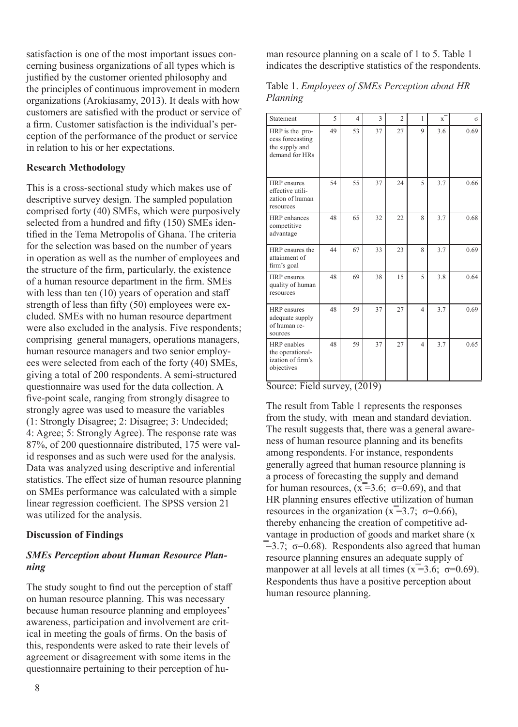satisfaction is one of the most important issues concerning business organizations of all types which is justified by the customer oriented philosophy and the principles of continuous improvement in modern organizations (Arokiasamy, 2013). It deals with how customers are satisfied with the product or service of a firm. Customer satisfaction is the individual's perception of the performance of the product or service in relation to his or her expectations.

## **Research Methodology**

This is a cross-sectional study which makes use of descriptive survey design. The sampled population comprised forty (40) SMEs, which were purposively selected from a hundred and fifty (150) SMEs identified in the Tema Metropolis of Ghana. The criteria for the selection was based on the number of years in operation as well as the number of employees and the structure of the firm, particularly, the existence of a human resource department in the firm. SMEs with less than ten (10) years of operation and staff strength of less than fifty (50) employees were excluded. SMEs with no human resource department were also excluded in the analysis. Five respondents; comprising general managers, operations managers, human resource managers and two senior employees were selected from each of the forty (40) SMEs, giving a total of 200 respondents. A semi-structured questionnaire was used for the data collection. A five-point scale, ranging from strongly disagree to strongly agree was used to measure the variables (1: Strongly Disagree; 2: Disagree; 3: Undecided; 4: Agree; 5: Strongly Agree). The response rate was 87%, of 200 questionnaire distributed, 175 were valid responses and as such were used for the analysis. Data was analyzed using descriptive and inferential statistics. The effect size of human resource planning on SMEs performance was calculated with a simple linear regression coefficient. The SPSS version 21 was utilized for the analysis.

#### **Discussion of Findings**

# *SMEs Perception about Human Resource Planning*

The study sought to find out the perception of staff on human resource planning. This was necessary because human resource planning and employees' awareness, participation and involvement are critical in meeting the goals of firms. On the basis of this, respondents were asked to rate their levels of agreement or disagreement with some items in the questionnaire pertaining to their perception of human resource planning on a scale of 1 to 5. Table 1 indicates the descriptive statistics of the respondents.

## Table 1. *Employees of SMEs Perception about HR Planning*

| Statement                                                               | 5  | $\overline{\mathcal{A}}$ | 3  | $\overline{2}$ | 1              | $x^{\dagger}$ | $\sigma$ |
|-------------------------------------------------------------------------|----|--------------------------|----|----------------|----------------|---------------|----------|
| HRP is the pro-<br>cess forecasting<br>the supply and<br>demand for HRs | 49 | 53                       | 37 | 27             | $\mathbf Q$    | 3.6           | 0.69     |
| HRP ensures<br>effective utili-<br>zation of human<br>resources         | 54 | 55                       | 37 | 24             | 5              | 3.7           | 0.66     |
| HRP enhances<br>competitive<br>advantage                                | 48 | 65                       | 32 | 22             | 8              | 3.7           | 0.68     |
| HRP ensures the<br>attainment of<br>firm's goal                         | 44 | 67                       | 33 | 23             | 8              | 3.7           | 0.69     |
| HRP ensures<br>quality of human<br>resources                            | 48 | 69                       | 38 | 15             | 5              | 3.8           | 0.64     |
| <b>HRP</b> ensures<br>adequate supply<br>of human re-<br>sources        | 48 | 59                       | 37 | 27             | $\overline{4}$ | 3.7           | 0.69     |
| HRP enables<br>the operational-<br>ization of firm's<br>objectives      | 48 | 59                       | 37 | 27             | $\overline{4}$ | 3.7           | 0.65     |

Source: Field survey,  $(2019)$ 

The result from Table 1 represents the responses from the study, with mean and standard deviation. The result suggests that, there was a general awareness of human resource planning and its benefits among respondents. For instance, respondents generally agreed that human resource planning is a process of forecasting the supply and demand for human resources,  $(x=3.6; \sigma=0.69)$ , and that HR planning ensures effective utilization of human resources in the organization  $(\bar{x} = 3.7; \sigma = 0.66)$ , thereby enhancing the creation of competitive advantage in production of goods and market share (x  $\overline{=}3.7$ ;  $\sigma=0.68$ ). Respondents also agreed that human resource planning ensures an adequate supply of manpower at all levels at all times  $(\bar{x} = 3.6; \sigma = 0.69)$ . Respondents thus have a positive perception about human resource planning.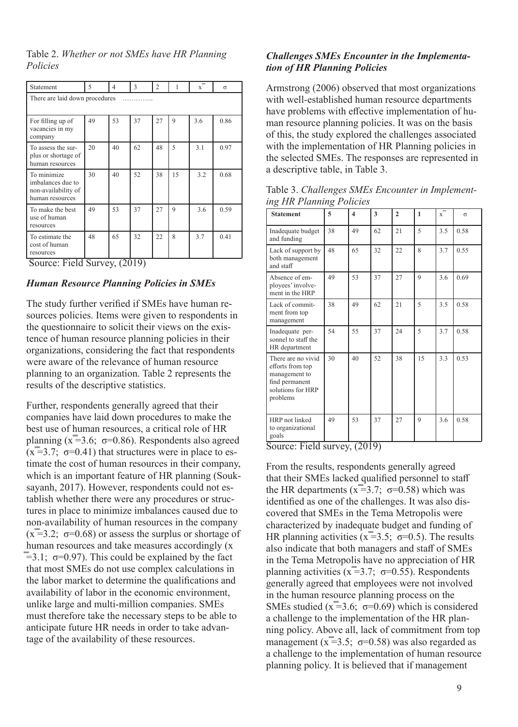Table 2. *Whether or not SMEs have HR Planning Policies*

| Statement                                                                  | 5  | 4  | 3  | $\overline{2}$ | 1           | $\overline{x}$ | $\sigma$ |  |  |
|----------------------------------------------------------------------------|----|----|----|----------------|-------------|----------------|----------|--|--|
| There are laid down procedures                                             |    |    |    |                |             |                |          |  |  |
| For filling up of<br>vacancies in my<br>company                            | 49 | 53 | 37 | 27             | $\mathbf Q$ | 3.6            | 0.86     |  |  |
| To assess the sur-<br>plus or shortage of<br>human resources               | 20 | 40 | 62 | 48             | 5           | 3.1            | 0.97     |  |  |
| To minimize<br>imbalances due to<br>non-availability of<br>human resources | 30 | 40 | 52 | 38             | 15          | 3.2            | 0.68     |  |  |
| To make the best<br>use of human<br>resources                              | 49 | 53 | 37 | 27             | 9           | 3.6            | 0.59     |  |  |
| To estimate the<br>cost of human<br>resources                              | 48 | 65 | 32 | 22             | 8           | 3.7            | 0.41     |  |  |

Source: Field Survey, (2019)

#### *Human Resource Planning Policies in SMEs*

The study further verified if SMEs have human resources policies. Items were given to respondents in the questionnaire to solicit their views on the existence of human resource planning policies in their organizations, considering the fact that respondents were aware of the relevance of human resource planning to an organization. Table 2 represents the results of the descriptive statistics.

Further, respondents generally agreed that their companies have laid down procedures to make the best use of human resources, a critical role of HR planning  $(\bar{x} = 3.6; \sigma = 0.86)$ . Respondents also agreed  $(x=3.7; \sigma=0.41)$  that structures were in place to estimate the cost of human resources in their company, which is an important feature of HR planning (Souksayanh, 2017). However, respondents could not establish whether there were any procedures or structures in place to minimize imbalances caused due to non-availability of human resources in the company  $(\bar{x} = 3.2; \sigma = 0.68)$  or assess the surplus or shortage of human resources and take measures accordingly (x  $\overline{=}3.1$ ;  $\sigma$ =0.97). This could be explained by the fact that most SMEs do not use complex calculations in the labor market to determine the qualifications and availability of labor in the economic environment, unlike large and multi-million companies. SMEs must therefore take the necessary steps to be able to anticipate future HR needs in order to take advantage of the availability of these resources.

#### *Challenges SMEs Encounter in the Implementation of HR Planning Policies*

Armstrong (2006) observed that most organizations with well-established human resource departments have problems with effective implementation of human resource planning policies. It was on the basis of this, the study explored the challenges associated with the implementation of HR Planning policies in the selected SMEs. The responses are represented in a descriptive table, in Table 3.

Table 3. *Challenges SMEs Encounter in Implementing HR Planning Policies*

| <b>Statement</b>                                                                                           | 5  | $\overline{\mathbf{4}}$ | 3  | $\overline{2}$ | $\mathbf{1}$             | $\bar{x}$ | $\sigma$ |
|------------------------------------------------------------------------------------------------------------|----|-------------------------|----|----------------|--------------------------|-----------|----------|
| Inadequate budget<br>and funding                                                                           | 38 | 49                      | 62 | 21             | 5                        | 3.5       | 0.58     |
| Lack of support by<br>both management<br>and staff                                                         | 48 | 65                      | 32 | 22             | $\overline{\mathsf{R}}$  | 3.7       | 0.55     |
| Absence of em-<br>ployees' involve-<br>ment in the HRP                                                     | 49 | 53                      | 37 | 27             | 9                        | 3.6       | 0.69     |
| Lack of commit-<br>ment from top<br>management                                                             | 38 | 49                      | 62 | 2.1            | $\overline{\phantom{0}}$ | 3.5       | 0.58     |
| Inadequate per-<br>sonnel to staff the<br>HR department                                                    | 54 | 55                      | 37 | 24             | $\overline{\phantom{0}}$ | 3.7       | 0.58     |
| There are no vivid<br>efforts from top<br>management to<br>find permanent<br>solutions for HRP<br>problems | 30 | 40                      | 52 | 38             | 15                       | 3.3       | 0.53     |
| HRP not linked<br>to organizational<br>goals                                                               | 49 | 53                      | 37 | 27             | 9                        | 3.6       | 0.58     |

Source: Field survey, (2019)

From the results, respondents generally agreed that their SMEs lacked qualified personnel to staff the HR departments ( $x=3.7$ ;  $\sigma=0.58$ ) which was identified as one of the challenges. It was also discovered that SMEs in the Tema Metropolis were characterized by inadequate budget and funding of HR planning activities ( $x=3.5$ ;  $\sigma=0.5$ ). The results also indicate that both managers and staff of SMEs in the Tema Metropolis have no appreciation of HR planning activities ( $x=3.7$ ;  $\sigma=0.55$ ). Respondents generally agreed that employees were not involved in the human resource planning process on the SMEs studied ( $x=3.6$ ;  $\sigma=0.69$ ) which is considered a challenge to the implementation of the HR planning policy. Above all, lack of commitment from top management ( $x=3.5$ ;  $\sigma=0.58$ ) was also regarded as a challenge to the implementation of human resource planning policy. It is believed that if management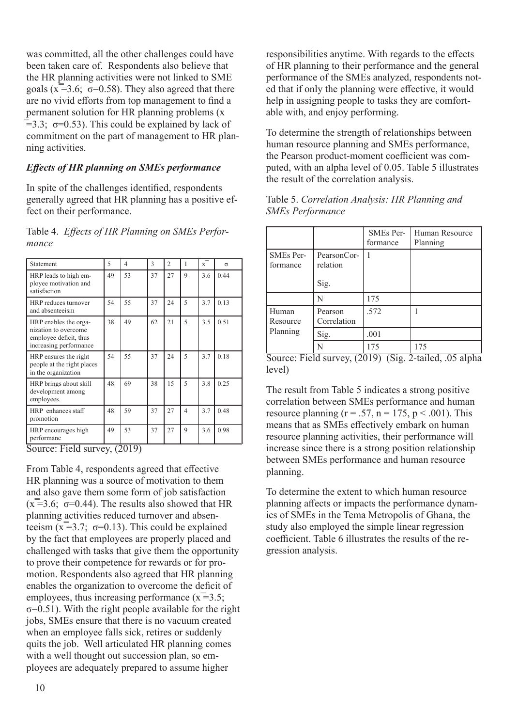was committed, all the other challenges could have been taken care of. Respondents also believe that the HR planning activities were not linked to SME goals ( $x=3.6$ ;  $\sigma=0.58$ ). They also agreed that there are no vivid efforts from top management to find a permanent solution for HR planning problems (x  $\equiv$  3.3;  $\sigma$ =0.53). This could be explained by lack of commitment on the part of management to HR planning activities.

# *Effects of HR planning on SMEs performance*

In spite of the challenges identified, respondents generally agreed that HR planning has a positive effect on their performance.

# Table 4. *Effects of HR Planning on SMEs Performance*

| Statement                                                                                         | $\overline{\phantom{0}}$ | 4  | $\mathcal{E}$ | $\overline{c}$ | 1                        | $\mathbf{x}$ | $\sigma$ |
|---------------------------------------------------------------------------------------------------|--------------------------|----|---------------|----------------|--------------------------|--------------|----------|
| HRP leads to high em-<br>ployee motivation and<br>satisfaction                                    | 49                       | 53 | 37            | 27             | $\mathbf Q$              | 3.6          | 0.44     |
| HRP reduces turnover<br>and absenteeism                                                           | 54                       | 55 | 37            | 24             | $\overline{\phantom{0}}$ | 3.7          | 0.13     |
| HRP enables the orga-<br>nization to overcome<br>employee deficit, thus<br>increasing performance | 38                       | 49 | 62            | 21             | 5                        | 3.5          | 0.51     |
| HRP ensures the right<br>people at the right places<br>in the organization                        | 54                       | 55 | 37            | 24             | $\overline{\phantom{0}}$ | 3.7          | 0.18     |
| HRP brings about skill<br>development among<br>employees.                                         | 48                       | 69 | 38            | 15             | 5                        | 3.8          | 0.25     |
| HRP enhances staff<br>promotion                                                                   | 48                       | 59 | 37            | 27             | 4                        | 3.7          | 0.48     |
| HRP encourages high<br>performanc                                                                 | 49                       | 53 | 37            | 27             | 9                        | 3.6          | 0.98     |

Source: Field survey, (2019)

From Table 4, respondents agreed that effective HR planning was a source of motivation to them and also gave them some form of job satisfaction  $(\overline{x} = 3.6; \sigma = 0.44)$ . The results also showed that HR planning activities reduced turnover and absenteeism  $(\bar{x} = 3.7; \sigma = 0.13)$ . This could be explained by the fact that employees are properly placed and challenged with tasks that give them the opportunity to prove their competence for rewards or for promotion. Respondents also agreed that HR planning enables the organization to overcome the deficit of employees, thus increasing performance  $(\bar{x} = 3.5)$ ;  $\sigma$ =0.51). With the right people available for the right jobs, SMEs ensure that there is no vacuum created when an employee falls sick, retires or suddenly quits the job. Well articulated HR planning comes with a well thought out succession plan, so employees are adequately prepared to assume higher

responsibilities anytime. With regards to the effects of HR planning to their performance and the general performance of the SMEs analyzed, respondents noted that if only the planning were effective, it would help in assigning people to tasks they are comfortable with, and enjoy performing.

To determine the strength of relationships between human resource planning and SMEs performance, the Pearson product-moment coefficient was computed, with an alpha level of 0.05. Table 5 illustrates the result of the correlation analysis.

|                       |                                 | SMEs Per-<br>formance | Human Resource<br>Planning |
|-----------------------|---------------------------------|-----------------------|----------------------------|
| SMEs Per-<br>formance | PearsonCor-<br>relation<br>Sig. |                       |                            |
|                       | N                               | 175                   |                            |
| Human<br>Resource     | Pearson<br>Correlation          | .572                  |                            |
| Planning              | Sig.                            | .001                  |                            |
|                       | N                               | 175                   | 175                        |

Table 5. *Correlation Analysis: HR Planning and SMEs Performance*

The result from Table 5 indicates a strong positive correlation between SMEs performance and human resource planning ( $r = .57$ ,  $n = 175$ ,  $p < .001$ ). This means that as SMEs effectively embark on human resource planning activities, their performance will increase since there is a strong position relationship between SMEs performance and human resource planning.

To determine the extent to which human resource planning affects or impacts the performance dynamics of SMEs in the Tema Metropolis of Ghana, the study also employed the simple linear regression coefficient. Table 6 illustrates the results of the regression analysis.

Source: Field survey, (2019) (Sig. 2-tailed, .05 alpha level)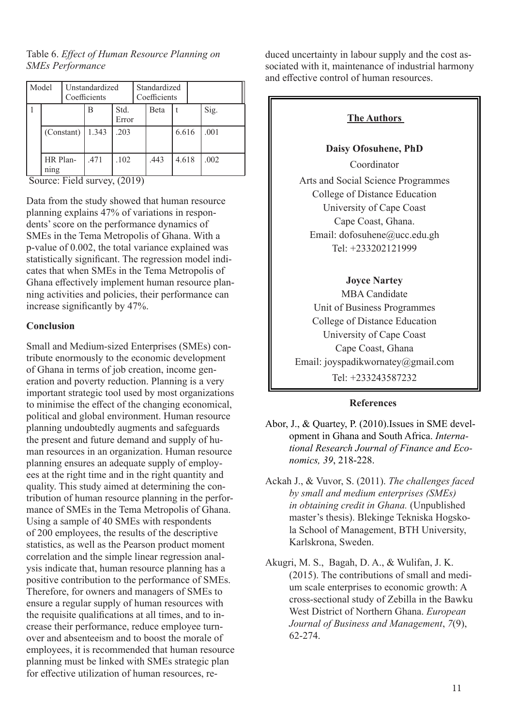Table 6. *Effect of Human Resource Planning on SMEs Performance*

| Model<br>Unstandardized<br>Coefficients |            | Standardized<br>Coefficients |      |  |      |       |  |      |
|-----------------------------------------|------------|------------------------------|------|--|------|-------|--|------|
|                                         |            | Std.<br>В<br>Error           |      |  | Beta |       |  | Sig. |
|                                         | (Constant) | 1.343                        | .203 |  |      | 6.616 |  | .001 |
| HR Plan-<br>ning                        |            | .471                         | .102 |  | .443 | 4.618 |  | .002 |

Source: Field survey, (2019)

Data from the study showed that human resource planning explains 47% of variations in respondents' score on the performance dynamics of SMEs in the Tema Metropolis of Ghana. With a p-value of 0.002, the total variance explained was statistically significant. The regression model indicates that when SMEs in the Tema Metropolis of Ghana effectively implement human resource planning activities and policies, their performance can increase significantly by 47%.

## **Conclusion**

Small and Medium-sized Enterprises (SMEs) contribute enormously to the economic development of Ghana in terms of job creation, income generation and poverty reduction. Planning is a very important strategic tool used by most organizations to minimise the effect of the changing economical, political and global environment. Human resource planning undoubtedly augments and safeguards the present and future demand and supply of human resources in an organization. Human resource planning ensures an adequate supply of employees at the right time and in the right quantity and quality. This study aimed at determining the contribution of human resource planning in the performance of SMEs in the Tema Metropolis of Ghana. Using a sample of 40 SMEs with respondents of 200 employees, the results of the descriptive statistics, as well as the Pearson product moment correlation and the simple linear regression analysis indicate that, human resource planning has a positive contribution to the performance of SMEs. Therefore, for owners and managers of SMEs to ensure a regular supply of human resources with the requisite qualifications at all times, and to increase their performance, reduce employee turnover and absenteeism and to boost the morale of employees, it is recommended that human resource planning must be linked with SMEs strategic plan for effective utilization of human resources, reduced uncertainty in labour supply and the cost associated with it, maintenance of industrial harmony and effective control of human resources.

# **The Authors**

#### **Daisy Ofosuhene, PhD**

Coordinator Arts and Social Science Programmes College of Distance Education University of Cape Coast Cape Coast, Ghana. Email: dofosuhene@ucc.edu.gh Tel: +233202121999

## **Joyce Nartey**

MBA Candidate Unit of Business Programmes College of Distance Education University of Cape Coast Cape Coast, Ghana Email: joyspadikwornatey@gmail.com Tel: +233243587232

#### **References**

Abor, J., & Quartey, P. (2010).Issues in SME development in Ghana and South Africa. *International Research Journal of Finance and Economics, 39*, 218-228.

Ackah J., & Vuvor, S. (2011). *The challenges faced by small and medium enterprises (SMEs) in obtaining credit in Ghana.* (Unpublished master's thesis). Blekinge Tekniska Hogskola School of Management, BTH University, Karlskrona, Sweden.

Akugri, M. S., Bagah, D. A., & Wulifan, J. K. (2015). The contributions of small and medium scale enterprises to economic growth: A cross-sectional study of Zebilla in the Bawku West District of Northern Ghana. *European Journal of Business and Management*, *7*(9), 62-274.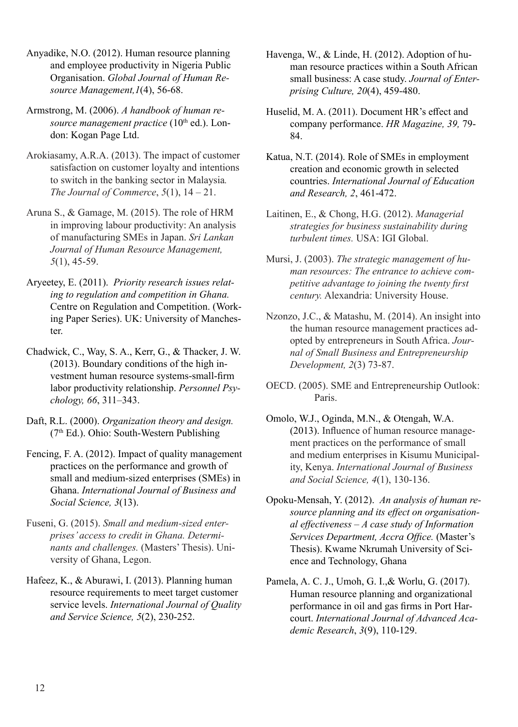- Anyadike, N.O. (2012). Human resource planning and employee productivity in Nigeria Public Organisation. *Global Journal of Human Resource Management,1*(4), 56-68.
- Armstrong, M. (2006). *A handbook of human resource management practice* (10<sup>th</sup> ed.). London: Kogan Page Ltd.
- Arokiasamy, A.R.A. (2013). The impact of customer satisfaction on customer loyalty and intentions to switch in the banking sector in Malaysia*. The Journal of Commerce*, *5*(1), 14 – 21.
- Aruna S., & Gamage, M. (2015). The role of HRM in improving labour productivity: An analysis of manufacturing SMEs in Japan. *Sri Lankan Journal of Human Resource Management, 5*(1), 45-59.
- Aryeetey, E. (2011). *Priority research issues relating to regulation and competition in Ghana.* Centre on Regulation and Competition. (Working Paper Series). UK: University of Manchester.
- Chadwick, C., Way, S. A., Kerr, G., & Thacker, J. W. (2013). Boundary conditions of the high investment human resource systems-small-firm labor productivity relationship. *Personnel Psychology, 66*, 311–343.
- Daft, R.L. (2000). *Organization theory and design.* (7th Ed.). Ohio: South-Western Publishing
- Fencing, F. A. (2012). Impact of quality management practices on the performance and growth of small and medium-sized enterprises (SMEs) in Ghana. *International Journal of Business and Social Science, 3*(13).
- Fuseni, G. (2015). *Small and medium-sized enterprises' access to credit in Ghana. Determinants and challenges.* (Masters' Thesis). University of Ghana, Legon.
- Hafeez, K., & Aburawi, I. (2013). Planning human resource requirements to meet target customer service levels. *International Journal of Quality and Service Science, 5*(2), 230-252.
- Havenga, W., & Linde, H. (2012). Adoption of human resource practices within a South African small business: A case study. *Journal of Enterprising Culture, 20*(4), 459-480.
- Huselid, M. A. (2011). Document HR's effect and company performance. *HR Magazine, 39,* 79- 84.
- Katua, N.T. (2014). Role of SMEs in employment creation and economic growth in selected countries. *International Journal of Education and Research, 2*, 461-472.
- Laitinen, E., & Chong, H.G. (2012). *Managerial strategies for business sustainability during turbulent times.* USA: IGI Global.
- Mursi, J. (2003). *The strategic management of human resources: The entrance to achieve competitive advantage to joining the twenty first century.* Alexandria: University House.
- Nzonzo, J.C., & Matashu, M. (2014). An insight into the human resource management practices adopted by entrepreneurs in South Africa. *Journal of Small Business and Entrepreneurship Development, 2*(3) 73-87.
- OECD. (2005). SME and Entrepreneurship Outlook: Paris.
- Omolo, W.J., Oginda, M.N., & Otengah, W.A. (2013). Influence of human resource management practices on the performance of small and medium enterprises in Kisumu Municipality, Kenya. *International Journal of Business and Social Science, 4*(1), 130-136.
- Opoku-Mensah, Y. (2012). *An analysis of human resource planning and its effect on organisational effectiveness – A case study of Information Services Department, Accra Office.* (Master's Thesis). Kwame Nkrumah University of Science and Technology, Ghana
- Pamela, A. C. J., Umoh, G. I.,& Worlu, G. (2017). Human resource planning and organizational performance in oil and gas firms in Port Harcourt. *International Journal of Advanced Academic Research*, *3*(9), 110-129.